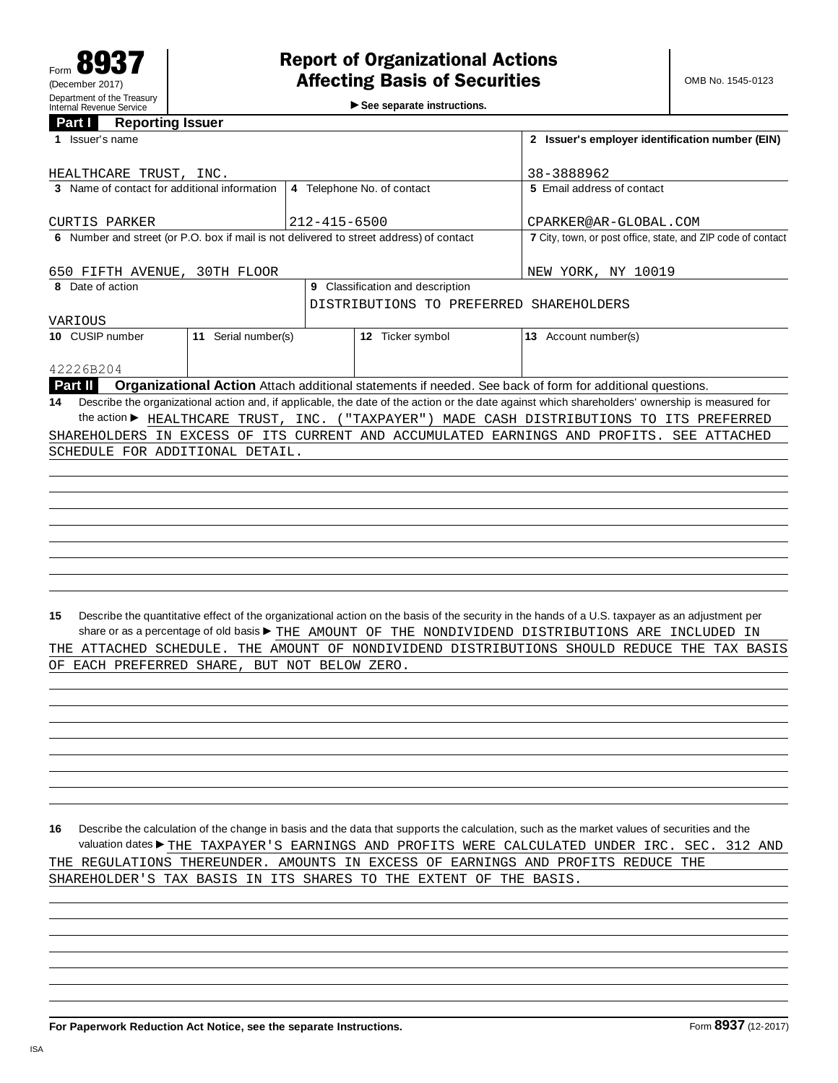►<br>► See separate instructions.

## **Panorting Issuer**

| <u>Faill</u><br>Reporting issuer<br>1 Issuer's name |                            |                                                                                                               |                    |                            | 2 Issuer's employer identification number (EIN)                                                                                                 |  |  |
|-----------------------------------------------------|----------------------------|---------------------------------------------------------------------------------------------------------------|--------------------|----------------------------|-------------------------------------------------------------------------------------------------------------------------------------------------|--|--|
| HEALTHCARE TRUST, INC.                              |                            |                                                                                                               | 38-3888962         |                            |                                                                                                                                                 |  |  |
| 3 Name of contact for additional information        | 4 Telephone No. of contact |                                                                                                               |                    | 5 Email address of contact |                                                                                                                                                 |  |  |
| <b>CURTIS PARKER</b>                                |                            |                                                                                                               |                    |                            | CPARKER@AR-GLOBAL.COM                                                                                                                           |  |  |
|                                                     |                            | $212 - 415 - 6500$<br>6 Number and street (or P.O. box if mail is not delivered to street address) of contact |                    |                            | 7 City, town, or post office, state, and ZIP code of contact                                                                                    |  |  |
|                                                     |                            |                                                                                                               |                    |                            |                                                                                                                                                 |  |  |
| 650 FIFTH AVENUE, 30TH FLOOR                        |                            |                                                                                                               | NEW YORK, NY 10019 |                            |                                                                                                                                                 |  |  |
| 8 Date of action                                    |                            | 9 Classification and description                                                                              |                    |                            |                                                                                                                                                 |  |  |
|                                                     |                            | DISTRIBUTIONS TO PREFERRED SHAREHOLDERS                                                                       |                    |                            |                                                                                                                                                 |  |  |
| VARIOUS                                             |                            |                                                                                                               |                    |                            |                                                                                                                                                 |  |  |
| 10 CUSIP number                                     | 11 Serial number(s)        |                                                                                                               | 12 Ticker symbol   |                            | 13 Account number(s)                                                                                                                            |  |  |
| 42226B204                                           |                            |                                                                                                               |                    |                            |                                                                                                                                                 |  |  |
| Part II                                             |                            |                                                                                                               |                    |                            | Organizational Action Attach additional statements if needed. See back of form for additional questions.                                        |  |  |
| 14                                                  |                            |                                                                                                               |                    |                            | Describe the organizational action and, if applicable, the date of the action or the date against which shareholders' ownership is measured for |  |  |
|                                                     |                            |                                                                                                               |                    |                            | the action▶ HEALTHCARE TRUST, INC. ("TAXPAYER") MADE CASH DISTRIBUTIONS TO ITS PREFERRED                                                        |  |  |
|                                                     |                            |                                                                                                               |                    |                            | SHAREHOLDERS IN EXCESS OF ITS CURRENT AND ACCUMULATED EARNINGS AND PROFITS. SEE ATTACHED                                                        |  |  |
| SCHEDULE FOR ADDITIONAL DETAIL.                     |                            |                                                                                                               |                    |                            |                                                                                                                                                 |  |  |
|                                                     |                            |                                                                                                               |                    |                            |                                                                                                                                                 |  |  |
|                                                     |                            |                                                                                                               |                    |                            |                                                                                                                                                 |  |  |
|                                                     |                            |                                                                                                               |                    |                            |                                                                                                                                                 |  |  |
|                                                     |                            |                                                                                                               |                    |                            |                                                                                                                                                 |  |  |
|                                                     |                            |                                                                                                               |                    |                            |                                                                                                                                                 |  |  |
|                                                     |                            |                                                                                                               |                    |                            |                                                                                                                                                 |  |  |
|                                                     |                            |                                                                                                               |                    |                            |                                                                                                                                                 |  |  |
|                                                     |                            |                                                                                                               |                    |                            |                                                                                                                                                 |  |  |
| 15                                                  |                            |                                                                                                               |                    |                            | Describe the quantitative effect of the organizational action on the basis of the security in the hands of a U.S. taxpayer as an adjustment per |  |  |
|                                                     |                            |                                                                                                               |                    |                            | share or as a percentage of old basis▶ THE AMOUNT OF THE NONDIVIDEND DISTRIBUTIONS ARE INCLUDED IN                                              |  |  |
|                                                     |                            |                                                                                                               |                    |                            | THE ATTACHED SCHEDULE. THE AMOUNT OF NONDIVIDEND DISTRIBUTIONS SHOULD REDUCE THE TAX BASIS                                                      |  |  |
| OF EACH PREFERRED SHARE, BUT NOT BELOW ZERO.        |                            |                                                                                                               |                    |                            |                                                                                                                                                 |  |  |
|                                                     |                            |                                                                                                               |                    |                            |                                                                                                                                                 |  |  |
|                                                     |                            |                                                                                                               |                    |                            |                                                                                                                                                 |  |  |
|                                                     |                            |                                                                                                               |                    |                            |                                                                                                                                                 |  |  |
|                                                     |                            |                                                                                                               |                    |                            |                                                                                                                                                 |  |  |
|                                                     |                            |                                                                                                               |                    |                            |                                                                                                                                                 |  |  |
|                                                     |                            |                                                                                                               |                    |                            |                                                                                                                                                 |  |  |
|                                                     |                            |                                                                                                               |                    |                            |                                                                                                                                                 |  |  |

**16** Describe the calculation of the change in basis and the data that supports the calculation, such as the market values of securities and the valuation dates THE TAXPAYER'S EARNINGS AND PROFITS WERE CALCULATED UNDER IRC. SEC. 312 AND THE REGULATIONS THEREUNDER. AMOUNTS IN EXCESS OF EARNINGS AND PROFITS REDUCE THE SHAREHOLDER'S TAX BASIS IN ITS SHARES TO THE EXTENT OF THE BASIS.

**For Paperwork Reduction Act Notice, see the separate Instructions. Form 8937** (12-2017)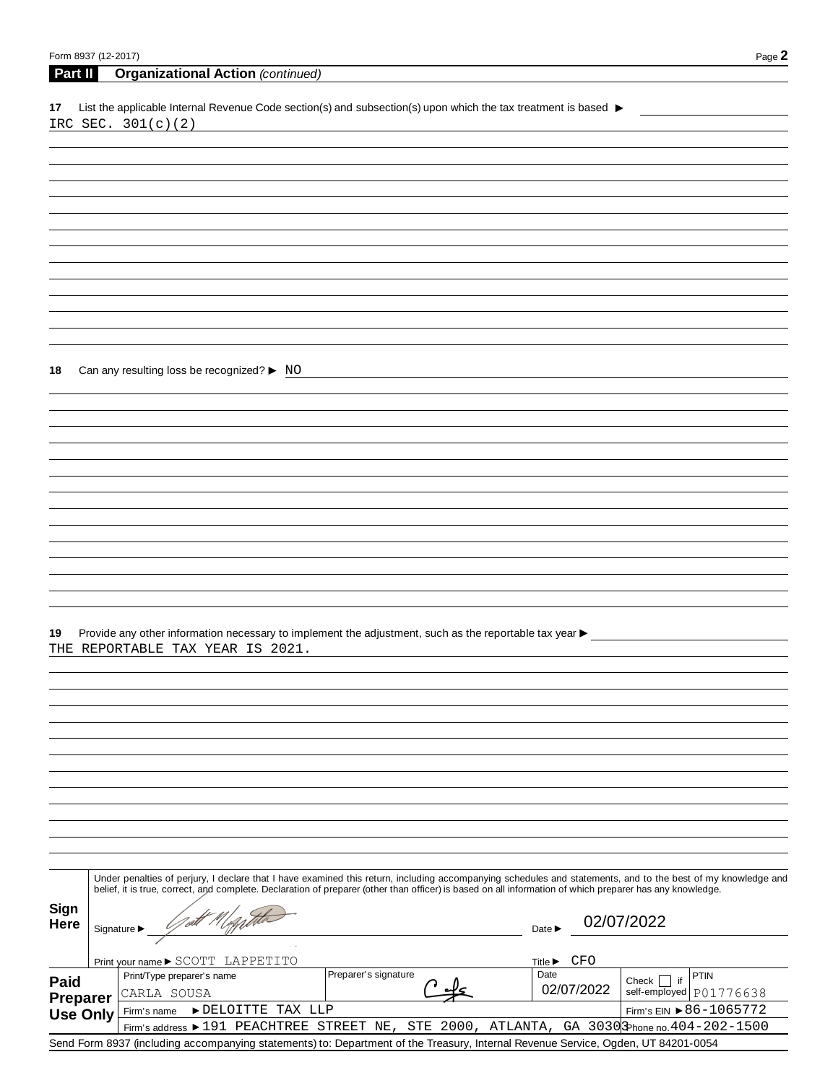| Form 8937 (12-2017) |                                 |                                                                                                                                                                                                                                                                                                                          |                            | Page 2                    |
|---------------------|---------------------------------|--------------------------------------------------------------------------------------------------------------------------------------------------------------------------------------------------------------------------------------------------------------------------------------------------------------------------|----------------------------|---------------------------|
| Part II             |                                 | <b>Organizational Action (continued)</b>                                                                                                                                                                                                                                                                                 |                            |                           |
|                     |                                 |                                                                                                                                                                                                                                                                                                                          |                            |                           |
| 17                  |                                 | List the applicable Internal Revenue Code section(s) and subsection(s) upon which the tax treatment is based ▶<br>IRC SEC. 301(c)(2)                                                                                                                                                                                     |                            |                           |
|                     |                                 |                                                                                                                                                                                                                                                                                                                          |                            |                           |
|                     |                                 |                                                                                                                                                                                                                                                                                                                          |                            |                           |
|                     |                                 |                                                                                                                                                                                                                                                                                                                          |                            |                           |
|                     |                                 |                                                                                                                                                                                                                                                                                                                          |                            |                           |
|                     |                                 |                                                                                                                                                                                                                                                                                                                          |                            |                           |
|                     |                                 |                                                                                                                                                                                                                                                                                                                          |                            |                           |
|                     |                                 |                                                                                                                                                                                                                                                                                                                          |                            |                           |
|                     |                                 |                                                                                                                                                                                                                                                                                                                          |                            |                           |
|                     |                                 |                                                                                                                                                                                                                                                                                                                          |                            |                           |
|                     |                                 |                                                                                                                                                                                                                                                                                                                          |                            |                           |
|                     |                                 |                                                                                                                                                                                                                                                                                                                          |                            |                           |
|                     |                                 |                                                                                                                                                                                                                                                                                                                          |                            |                           |
|                     |                                 | Can any resulting loss be recognized? ▶ NO                                                                                                                                                                                                                                                                               |                            |                           |
| 18                  |                                 |                                                                                                                                                                                                                                                                                                                          |                            |                           |
|                     |                                 |                                                                                                                                                                                                                                                                                                                          |                            |                           |
|                     |                                 |                                                                                                                                                                                                                                                                                                                          |                            |                           |
|                     |                                 |                                                                                                                                                                                                                                                                                                                          |                            |                           |
|                     |                                 |                                                                                                                                                                                                                                                                                                                          |                            |                           |
|                     |                                 |                                                                                                                                                                                                                                                                                                                          |                            |                           |
|                     |                                 |                                                                                                                                                                                                                                                                                                                          |                            |                           |
|                     |                                 |                                                                                                                                                                                                                                                                                                                          |                            |                           |
|                     |                                 |                                                                                                                                                                                                                                                                                                                          |                            |                           |
|                     |                                 |                                                                                                                                                                                                                                                                                                                          |                            |                           |
|                     |                                 |                                                                                                                                                                                                                                                                                                                          |                            |                           |
|                     |                                 |                                                                                                                                                                                                                                                                                                                          |                            |                           |
|                     |                                 |                                                                                                                                                                                                                                                                                                                          |                            |                           |
|                     |                                 |                                                                                                                                                                                                                                                                                                                          |                            |                           |
| 19                  |                                 | Provide any other information necessary to implement the adjustment, such as the reportable tax year ><br>THE REPORTABLE TAX YEAR IS 2021.                                                                                                                                                                               |                            |                           |
|                     |                                 |                                                                                                                                                                                                                                                                                                                          |                            |                           |
|                     |                                 |                                                                                                                                                                                                                                                                                                                          |                            |                           |
|                     |                                 |                                                                                                                                                                                                                                                                                                                          |                            |                           |
|                     |                                 |                                                                                                                                                                                                                                                                                                                          |                            |                           |
|                     |                                 |                                                                                                                                                                                                                                                                                                                          |                            |                           |
|                     |                                 |                                                                                                                                                                                                                                                                                                                          |                            |                           |
|                     |                                 |                                                                                                                                                                                                                                                                                                                          |                            |                           |
|                     |                                 |                                                                                                                                                                                                                                                                                                                          |                            |                           |
|                     |                                 |                                                                                                                                                                                                                                                                                                                          |                            |                           |
|                     |                                 |                                                                                                                                                                                                                                                                                                                          |                            |                           |
|                     |                                 |                                                                                                                                                                                                                                                                                                                          |                            |                           |
|                     |                                 |                                                                                                                                                                                                                                                                                                                          |                            |                           |
|                     |                                 | Under penalties of perjury, I declare that I have examined this return, including accompanying schedules and statements, and to the best of my knowledge and<br>belief, it is true, correct, and complete. Declaration of preparer (other than officer) is based on all information of which preparer has any knowledge. |                            |                           |
|                     |                                 |                                                                                                                                                                                                                                                                                                                          |                            |                           |
| Sign<br>Here        |                                 |                                                                                                                                                                                                                                                                                                                          |                            | 02/07/2022                |
|                     | Signature $\blacktriangleright$ |                                                                                                                                                                                                                                                                                                                          | Date $\blacktriangleright$ |                           |
|                     |                                 | Print your name ▶ SCOTT LAPPETITO                                                                                                                                                                                                                                                                                        | Title▶ CFO                 |                           |
|                     |                                 | Preparer's signature<br>Print/Type preparer's name                                                                                                                                                                                                                                                                       | Date                       | PTIN<br>if<br>Check       |
| Paid<br>Preparer    |                                 | CARLA SOUSA                                                                                                                                                                                                                                                                                                              | 02/07/2022                 | self-employed   P01776638 |
| <b>Use Only</b>     |                                 | DELOITTE TAX LLP<br>Firm's name                                                                                                                                                                                                                                                                                          |                            | Firm's EIN ▶ 86-1065772   |
|                     |                                 | Firm's address ▶ 191 PEACHTREE STREET NE, STE 2000, ATLANTA, GA 3030 Phone no.404-202-1500                                                                                                                                                                                                                               |                            |                           |

Send Form 8937 (including accompanying statements) to: Department of the Treasury, Internal Revenue Service, Ogden, UT 84201-0054